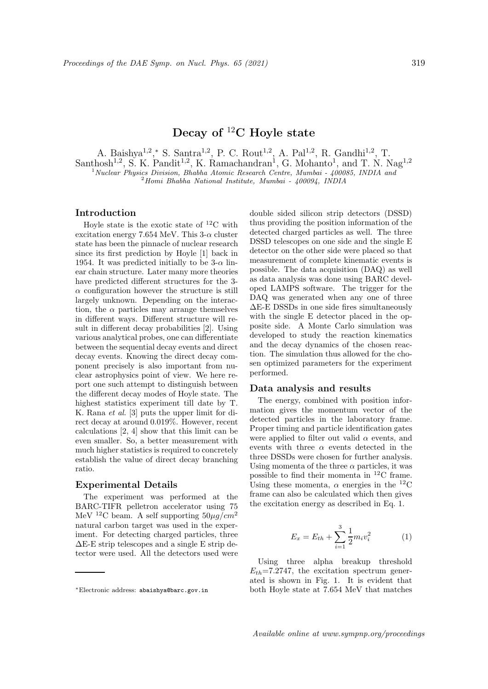# Decay of  ${}^{12}$ C Hoyle state

A. Baishya<sup>1,2</sup>,\* S. Santra<sup>1,2</sup>, P. C. Rout<sup>1,2</sup>, A. Pal<sup>1,2</sup>, R. Gandhi<sup>1,2</sup>, T. Santhosh<sup>1,2</sup>, S. K. Pandit<sup>1,2</sup>, K. Ramachandran<sup>1</sup>, G. Mohanto<sup>1</sup>, and T. N. Nag<sup>1,2</sup>  $1$ Nuclear Physics Division, Bhabha Atomic Research Centre, Mumbai -  $400085$ , INDIA and

 $^{2}$ Homi Bhabha National Institute, Mumbai - 400094, INDIA

## Introduction

Hoyle state is the exotic state of  ${}^{12}$ C with excitation energy 7.654 MeV. This  $3-\alpha$  cluster state has been the pinnacle of nuclear research since its first prediction by Hoyle [1] back in 1954. It was predicted initially to be  $3-\alpha$  linear chain structure. Later many more theories have predicted different structures for the 3-  $\alpha$  configuration however the structure is still largely unknown. Depending on the interaction, the  $\alpha$  particles may arrange themselves in different ways. Different structure will result in different decay probabilities [2]. Using various analytical probes, one can differentiate between the sequential decay events and direct decay events. Knowing the direct decay component precisely is also important from nuclear astrophysics point of view. We here report one such attempt to distinguish between the different decay modes of Hoyle state. The highest statistics experiment till date by T. K. Rana et al. [3] puts the upper limit for direct decay at around 0.019%. However, recent calculations [2, 4] show that this limit can be even smaller. So, a better measurement with much higher statistics is required to concretely establish the value of direct decay branching ratio.

### Experimental Details

The experiment was performed at the BARC-TIFR pelletron accelerator using 75 MeV <sup>12</sup>C beam. A self supporting  $50\mu q/cm^2$ natural carbon target was used in the experiment. For detecting charged particles, three  $\Delta E$ -E strip telescopes and a single E strip detector were used. All the detectors used were

double sided silicon strip detectors (DSSD) thus providing the position information of the detected charged particles as well. The three DSSD telescopes on one side and the single E detector on the other side were placed so that measurement of complete kinematic events is possible. The data acquisition (DAQ) as well as data analysis was done using BARC developed LAMPS software. The trigger for the DAQ was generated when any one of three ∆E-E DSSDs in one side fires simultaneously with the single E detector placed in the opposite side. A Monte Carlo simulation was developed to study the reaction kinematics and the decay dynamics of the chosen reaction. The simulation thus allowed for the chosen optimized parameters for the experiment performed.

#### Data analysis and results

The energy, combined with position information gives the momentum vector of the detected particles in the laboratory frame. Proper timing and particle identification gates were applied to filter out valid  $\alpha$  events, and events with three  $\alpha$  events detected in the three DSSDs were chosen for further analysis. Using momenta of the three  $\alpha$  particles, it was possible to find their momenta in <sup>12</sup>C frame. Using these momenta,  $\alpha$  energies in the <sup>12</sup>C frame can also be calculated which then gives the excitation energy as described in Eq. 1.

$$
E_x = E_{th} + \sum_{i=1}^{3} \frac{1}{2} m_i v_i^2
$$
 (1)

Using three alpha breakup threshold  $E_{th}$ =7.2747, the excitation spectrum generated is shown in Fig. 1. It is evident that both Hoyle state at 7.654 MeV that matches

<sup>∗</sup>Electronic address: abaishya@barc.gov.in